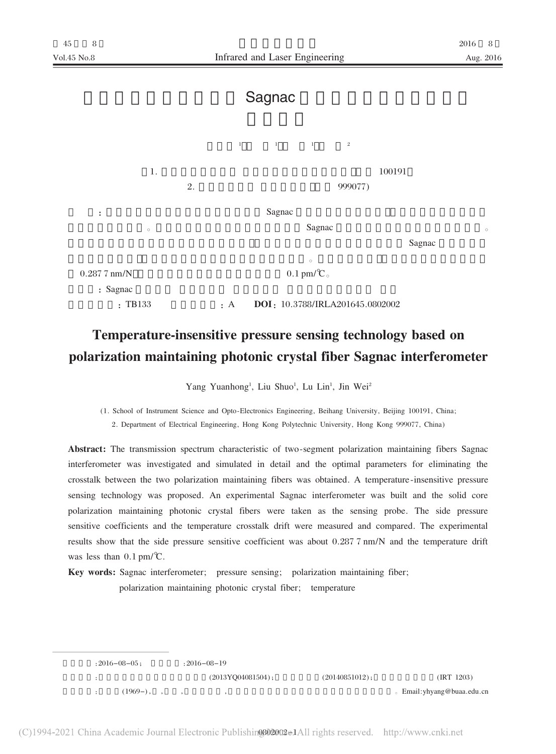## Sagnac



## Temperature-insensitive pressure sensing technology based on polarization maintaining photonic crystal fiber Sagnac interferometer

Yang Yuanhong<sup>1</sup>, Liu Shuo<sup>1</sup>, Lu Lin<sup>1</sup>, Jin Wei<sup>2</sup>

(1. School of Instrument Science and Opto-Electronics Engineering, Beihang University, Beijing 100191, China; 2. Department of Electrical Engineering, Hong Kong Polytechnic University, Hong Kong 999077, China)

Abstract: The transmission spectrum characteristic of two-segment polarization maintaining fibers Sagnac interferometer was investigated and simulated in detail and the optimal parameters for eliminating the crosstalk between the two polarization maintaining fibers was obtained. A temperature-insensitive pressure sensing technology was proposed. An experimental Sagnac interferometer was built and the solid core polarization maintaining photonic crystal fibers were taken as the sensing probe. The side pressure sensitive coefficients and the temperature crosstalk drift were measured and compared. The experimental results show that the side pressure sensitive coefficient was about 0.287.7 nm/N and the temperature drift was less than  $0.1 \text{ pm}/\textdegree$ C.

Key words: Sagnac interferometer; pressure sensing; polarization maintaining fiber;

polarization maintaining photonic crystal fiber; temperature

 $:2016 - 08 - 05;$  $:2016 - 08 - 19$  $(2013YQ04081504);$  $(20140851012);$  $(IRT 1203)$  $(1969-), , ,$ © Email: yhyang@buaa.edu.cn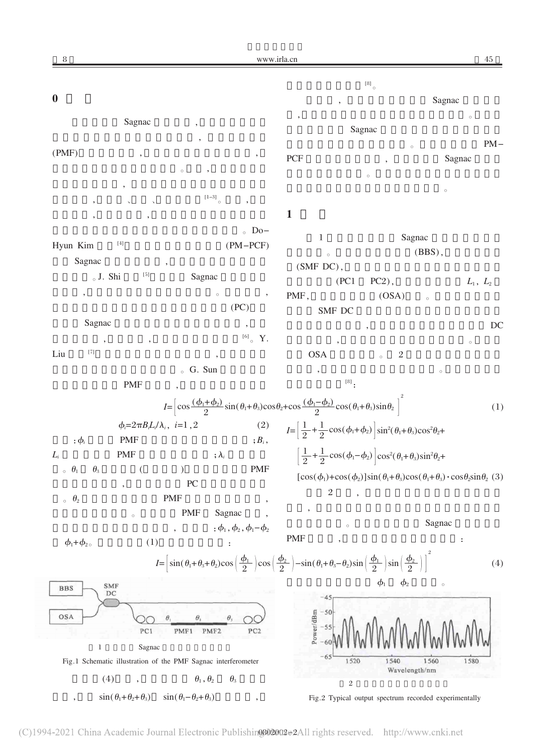| 8                                                                                                                                                                                                                                                            |                                                                                                                                                                                                                                                                                                                                                                                                                                                                                                                                                                                                                                                                                                                                                                                                                                                                     |                                                               | www.irla.cn                        |                                                                                                                                                                                                                                    |                                                                                                              |                      | 45         |
|--------------------------------------------------------------------------------------------------------------------------------------------------------------------------------------------------------------------------------------------------------------|---------------------------------------------------------------------------------------------------------------------------------------------------------------------------------------------------------------------------------------------------------------------------------------------------------------------------------------------------------------------------------------------------------------------------------------------------------------------------------------------------------------------------------------------------------------------------------------------------------------------------------------------------------------------------------------------------------------------------------------------------------------------------------------------------------------------------------------------------------------------|---------------------------------------------------------------|------------------------------------|------------------------------------------------------------------------------------------------------------------------------------------------------------------------------------------------------------------------------------|--------------------------------------------------------------------------------------------------------------|----------------------|------------|
|                                                                                                                                                                                                                                                              |                                                                                                                                                                                                                                                                                                                                                                                                                                                                                                                                                                                                                                                                                                                                                                                                                                                                     |                                                               |                                    |                                                                                                                                                                                                                                    | $^{\left[ 8\right] }$ $_{\circ}$                                                                             |                      |            |
| $\boldsymbol{0}$                                                                                                                                                                                                                                             |                                                                                                                                                                                                                                                                                                                                                                                                                                                                                                                                                                                                                                                                                                                                                                                                                                                                     |                                                               |                                    |                                                                                                                                                                                                                                    |                                                                                                              | Sagnac               |            |
| Sagnac                                                                                                                                                                                                                                                       |                                                                                                                                                                                                                                                                                                                                                                                                                                                                                                                                                                                                                                                                                                                                                                                                                                                                     |                                                               |                                    |                                                                                                                                                                                                                                    |                                                                                                              | $\circ$              |            |
|                                                                                                                                                                                                                                                              |                                                                                                                                                                                                                                                                                                                                                                                                                                                                                                                                                                                                                                                                                                                                                                                                                                                                     |                                                               |                                    |                                                                                                                                                                                                                                    | Sagnac                                                                                                       |                      | $PM-$      |
| (PMF)                                                                                                                                                                                                                                                        |                                                                                                                                                                                                                                                                                                                                                                                                                                                                                                                                                                                                                                                                                                                                                                                                                                                                     |                                                               | ,                                  | PCF                                                                                                                                                                                                                                | $\circ$                                                                                                      | Sagnac               |            |
|                                                                                                                                                                                                                                                              |                                                                                                                                                                                                                                                                                                                                                                                                                                                                                                                                                                                                                                                                                                                                                                                                                                                                     | $\circ$                                                       |                                    |                                                                                                                                                                                                                                    | $\circ$                                                                                                      |                      |            |
|                                                                                                                                                                                                                                                              |                                                                                                                                                                                                                                                                                                                                                                                                                                                                                                                                                                                                                                                                                                                                                                                                                                                                     |                                                               |                                    |                                                                                                                                                                                                                                    |                                                                                                              | $\circ$              |            |
|                                                                                                                                                                                                                                                              |                                                                                                                                                                                                                                                                                                                                                                                                                                                                                                                                                                                                                                                                                                                                                                                                                                                                     | $^{\rm [1-3]}$ $_{\rm \circ}$                                 | $\overline{\phantom{a}}$           | $\mathbf{1}$                                                                                                                                                                                                                       |                                                                                                              |                      |            |
|                                                                                                                                                                                                                                                              |                                                                                                                                                                                                                                                                                                                                                                                                                                                                                                                                                                                                                                                                                                                                                                                                                                                                     |                                                               | $\circ$ Do-                        |                                                                                                                                                                                                                                    |                                                                                                              |                      |            |
| Hyun Kim                                                                                                                                                                                                                                                     | $[4] % \includegraphics[width=0.9\columnwidth]{figures/fig_4} \caption{A graph shows a function of the number of times, and the number of times, in the right, the number of times, in the right, the number of times, in the right, the number of times, in the right, the number of times, in the right, the number of times, in the right, the number of times, in the right, the number of times, in the right, the number of times, in the right, the number of times, in the right, the number of times, in the right, the number of times, in the right, the number of times, in the right, the number of times, in the right, the number of times, in the right, the number of times, in the right, the number of times, in the right, the number of times, in the right, the number of times, in the right, the number of times, in the right, the number$ |                                                               | $(PM-PCF)$                         | $\bf{l}$                                                                                                                                                                                                                           | Sagnac                                                                                                       |                      |            |
| Sagnac                                                                                                                                                                                                                                                       |                                                                                                                                                                                                                                                                                                                                                                                                                                                                                                                                                                                                                                                                                                                                                                                                                                                                     |                                                               |                                    | $\circ$                                                                                                                                                                                                                            |                                                                                                              | (BBS),               |            |
| $_{\circ}$ J. Shi                                                                                                                                                                                                                                            | $\left[5\right]$                                                                                                                                                                                                                                                                                                                                                                                                                                                                                                                                                                                                                                                                                                                                                                                                                                                    | Sagnac                                                        |                                    | (SMF DC),<br>(PC1)                                                                                                                                                                                                                 | $PC2$ ),                                                                                                     |                      |            |
|                                                                                                                                                                                                                                                              |                                                                                                                                                                                                                                                                                                                                                                                                                                                                                                                                                                                                                                                                                                                                                                                                                                                                     |                                                               | $\circ$<br>$^\bullet$              | PMF,                                                                                                                                                                                                                               | (OSA)                                                                                                        | $\circ$              | $L_1, L_2$ |
|                                                                                                                                                                                                                                                              |                                                                                                                                                                                                                                                                                                                                                                                                                                                                                                                                                                                                                                                                                                                                                                                                                                                                     |                                                               | (PC)                               | SMF DC                                                                                                                                                                                                                             |                                                                                                              |                      |            |
| Sagnac                                                                                                                                                                                                                                                       |                                                                                                                                                                                                                                                                                                                                                                                                                                                                                                                                                                                                                                                                                                                                                                                                                                                                     |                                                               | $\overline{\phantom{a}}$           |                                                                                                                                                                                                                                    |                                                                                                              |                      | DC         |
|                                                                                                                                                                                                                                                              |                                                                                                                                                                                                                                                                                                                                                                                                                                                                                                                                                                                                                                                                                                                                                                                                                                                                     |                                                               | $^{[6]}$ $\circ$ $\,$ Y.           |                                                                                                                                                                                                                                    |                                                                                                              |                      | $\circ$    |
| $[7] \centering% \includegraphics[width=1\textwidth]{images/TransY.pdf} \caption{The 3D (top) and the 4D (bottom) of the 3D (bottom) of the 3D (bottom) of the 3D (bottom) of the 3D (bottom) of the 3D (bottom) of the 3D (bottom).} \label{fig:3D}$<br>Liu |                                                                                                                                                                                                                                                                                                                                                                                                                                                                                                                                                                                                                                                                                                                                                                                                                                                                     |                                                               |                                    | <b>OSA</b>                                                                                                                                                                                                                         | $\sqrt{2}$<br>$\circ$                                                                                        |                      |            |
|                                                                                                                                                                                                                                                              |                                                                                                                                                                                                                                                                                                                                                                                                                                                                                                                                                                                                                                                                                                                                                                                                                                                                     | ⊙ G. Sun                                                      |                                    | $^{[8]}$ :                                                                                                                                                                                                                         |                                                                                                              | $\circ$              |            |
|                                                                                                                                                                                                                                                              | <b>PMF</b>                                                                                                                                                                                                                                                                                                                                                                                                                                                                                                                                                                                                                                                                                                                                                                                                                                                          |                                                               |                                    |                                                                                                                                                                                                                                    |                                                                                                              |                      |            |
|                                                                                                                                                                                                                                                              |                                                                                                                                                                                                                                                                                                                                                                                                                                                                                                                                                                                                                                                                                                                                                                                                                                                                     |                                                               |                                    | $I=\left[\cos\frac{(\phi_1+\phi_2)}{2}\sin(\theta_1+\theta_3)\cos\theta_2+\cos\frac{(\phi_1-\phi_2)}{2}\cos(\theta_1+\theta_3)\sin\theta_2\right]^2$                                                                               |                                                                                                              |                      | (1)        |
|                                                                                                                                                                                                                                                              | $\phi_i = 2\pi B_i L_i / \lambda_i$ , $i=1,2$                                                                                                                                                                                                                                                                                                                                                                                                                                                                                                                                                                                                                                                                                                                                                                                                                       |                                                               | (2)                                | $I = \left[\frac{1}{2} + \frac{1}{2}\cos(\phi_1 + \phi_2)\right] \sin^2(\theta_1 + \theta_3)\cos^2(\theta_2 + \phi_3)$                                                                                                             |                                                                                                              |                      |            |
| $:\phi_i$                                                                                                                                                                                                                                                    | <b>PMF</b>                                                                                                                                                                                                                                                                                                                                                                                                                                                                                                                                                                                                                                                                                                                                                                                                                                                          |                                                               | $;B_i,$                            |                                                                                                                                                                                                                                    |                                                                                                              |                      |            |
| $L_i$                                                                                                                                                                                                                                                        | <b>PMF</b>                                                                                                                                                                                                                                                                                                                                                                                                                                                                                                                                                                                                                                                                                                                                                                                                                                                          |                                                               | ; $\lambda_i$                      |                                                                                                                                                                                                                                    | $\left[\frac{1}{2}+\frac{1}{2}\cos(\phi_1-\phi_2)\right]\cos^2(\theta_1+\theta_3)\sin^2\theta_2+$            |                      |            |
| $\,{}_{\circ}\,$ $\,\theta_{1}$<br>$\theta_3$                                                                                                                                                                                                                |                                                                                                                                                                                                                                                                                                                                                                                                                                                                                                                                                                                                                                                                                                                                                                                                                                                                     | ${\rm P}{\bf C}$                                              | PMF                                |                                                                                                                                                                                                                                    | $[\cos(\phi_1)+\cos(\phi_2)]\sin(\theta_1+\theta_3)\cos(\theta_1+\theta_3)\cdot\cos\theta_2\sin\theta_2$ (3) |                      |            |
| $\circ$ $\theta_2$                                                                                                                                                                                                                                           |                                                                                                                                                                                                                                                                                                                                                                                                                                                                                                                                                                                                                                                                                                                                                                                                                                                                     | <b>PMF</b>                                                    |                                    | $\overline{2}$                                                                                                                                                                                                                     |                                                                                                              |                      |            |
|                                                                                                                                                                                                                                                              | $\circ$                                                                                                                                                                                                                                                                                                                                                                                                                                                                                                                                                                                                                                                                                                                                                                                                                                                             | <b>PMF</b>                                                    | Sagnac                             |                                                                                                                                                                                                                                    |                                                                                                              |                      |            |
|                                                                                                                                                                                                                                                              |                                                                                                                                                                                                                                                                                                                                                                                                                                                                                                                                                                                                                                                                                                                                                                                                                                                                     |                                                               | $:\phi_1, \phi_2, \phi_1 - \phi_2$ | $\circ$                                                                                                                                                                                                                            |                                                                                                              | Sagnac               |            |
| $\phi_1 + \phi_2$                                                                                                                                                                                                                                            | (1)                                                                                                                                                                                                                                                                                                                                                                                                                                                                                                                                                                                                                                                                                                                                                                                                                                                                 |                                                               |                                    | <b>PMF</b>                                                                                                                                                                                                                         |                                                                                                              | $\ddot{\phantom{0}}$ |            |
|                                                                                                                                                                                                                                                              |                                                                                                                                                                                                                                                                                                                                                                                                                                                                                                                                                                                                                                                                                                                                                                                                                                                                     |                                                               |                                    | $I = \left[\sin(\theta_1 + \theta_3 + \theta_2)\cos\left(\frac{\phi_1}{2}\right)\cos\left(\frac{\phi_2}{2}\right) - \sin(\theta_1 + \theta_3 - \theta_2)\sin\left(\frac{\phi_1}{2}\right)\sin\left(\frac{\phi_2}{2}\right)\right]$ |                                                                                                              |                      | (4)        |
| $_{\rm BBS}$                                                                                                                                                                                                                                                 | <b>SMF</b>                                                                                                                                                                                                                                                                                                                                                                                                                                                                                                                                                                                                                                                                                                                                                                                                                                                          |                                                               |                                    |                                                                                                                                                                                                                                    | $\phi_1$<br>$\phi_2$                                                                                         |                      |            |
|                                                                                                                                                                                                                                                              | DC                                                                                                                                                                                                                                                                                                                                                                                                                                                                                                                                                                                                                                                                                                                                                                                                                                                                  |                                                               |                                    | 45                                                                                                                                                                                                                                 |                                                                                                              |                      |            |
| OSA                                                                                                                                                                                                                                                          |                                                                                                                                                                                                                                                                                                                                                                                                                                                                                                                                                                                                                                                                                                                                                                                                                                                                     | θ.                                                            | θ.                                 | $-50$                                                                                                                                                                                                                              |                                                                                                              |                      |            |
|                                                                                                                                                                                                                                                              | PC1                                                                                                                                                                                                                                                                                                                                                                                                                                                                                                                                                                                                                                                                                                                                                                                                                                                                 | PMF1<br>PMF <sub>2</sub>                                      | PC <sub>2</sub>                    | Power/dBm<br>$-55$                                                                                                                                                                                                                 |                                                                                                              |                      |            |
| 1                                                                                                                                                                                                                                                            | Sagnac                                                                                                                                                                                                                                                                                                                                                                                                                                                                                                                                                                                                                                                                                                                                                                                                                                                              |                                                               |                                    | $-65$                                                                                                                                                                                                                              |                                                                                                              |                      |            |
|                                                                                                                                                                                                                                                              |                                                                                                                                                                                                                                                                                                                                                                                                                                                                                                                                                                                                                                                                                                                                                                                                                                                                     | Fig.1 Schematic illustration of the PMF Sagnac interferometer |                                    | 1520                                                                                                                                                                                                                               | 1540<br>Wavelength/nm                                                                                        | 1560                 | 1580       |
|                                                                                                                                                                                                                                                              | (4)                                                                                                                                                                                                                                                                                                                                                                                                                                                                                                                                                                                                                                                                                                                                                                                                                                                                 | $\theta_1, \theta_2$                                          | $\theta_3$                         | $\sqrt{2}$                                                                                                                                                                                                                         |                                                                                                              |                      |            |
|                                                                                                                                                                                                                                                              | $sin(\theta_1+\theta_2+\theta_3)$                                                                                                                                                                                                                                                                                                                                                                                                                                                                                                                                                                                                                                                                                                                                                                                                                                   | $sin(\theta_1-\theta_2+\theta_3)$                             |                                    |                                                                                                                                                                                                                                    | Fig.2 Typical output spectrum recorded experimentally                                                        |                      |            |

(C)1994-2021 China Academic Journal Electronic Publishin@802002e2All rights reserved. http://www.cnki.net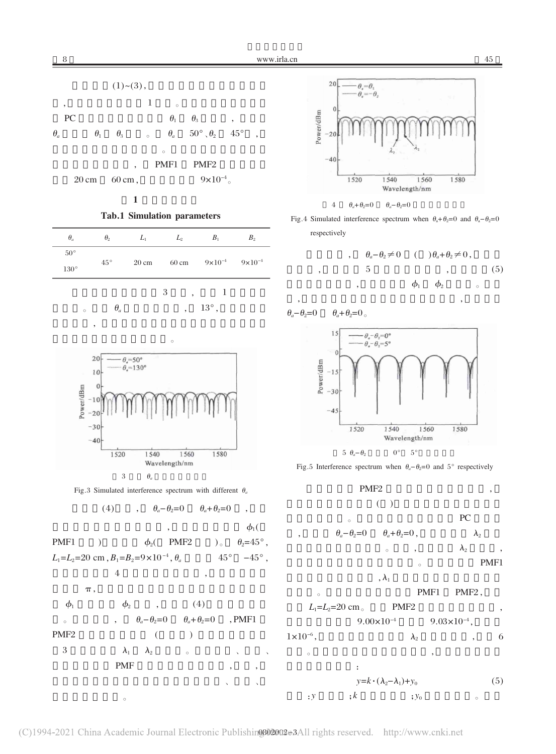

8

**Tab.1 Simulation parameters** 

| $\theta_a$                    | $\theta_{2}$ | $L_1$           | $L_2$  | B <sub>1</sub>                              | $B_{2}$ |
|-------------------------------|--------------|-----------------|--------|---------------------------------------------|---------|
| $50^{\circ}$<br>$130^{\circ}$ | $45^{\circ}$ | $20 \text{ cm}$ |        | 60 cm $9 \times 10^{-4}$ $9 \times 10^{-4}$ |         |
|                               |              |                 | 3<br>٠ |                                             |         |

 $\theta_a$  $13^{\circ}$ ,  $\sim$ 



Fig.3 Simulated interference spectrum with different  $\theta_a$ 

$$
(4) \qquad , \qquad \theta_a - \theta_2 = 0 \qquad \theta_a + \theta_2 = 0 \qquad ,
$$

$$
\begin{array}{cccc}\n & , & \phi_1( \\
\text{PMF1} & ) & \phi_2( \text{PMF2} )_0 & \theta_2=45^\circ, \\
L_1=L_2=20 \text{ cm}, & B_1=B_2=9\times10^{-4}, & \theta_a & 45^\circ -45^\circ, \\
4 & , & , & \pi,\n\end{array}
$$

$$
\phi_1 \qquad \phi_2 \qquad , \qquad (4)
$$
\n
$$
\circ \qquad , \qquad \theta_a - \theta_2 = 0 \qquad \theta_a + \theta_2 = 0 \qquad , PMF1
$$
\n
$$
PMF2 \qquad \qquad (1)
$$
\n
$$
3 \qquad \qquad \lambda_1 \qquad \lambda_2 \qquad \qquad \circ \qquad \qquad .
$$
\n
$$
PMF \qquad \qquad .
$$

 $\circ$ 





Fig.4 Simulated interference spectrum when  $\theta_a + \theta_2 = 0$  and  $\theta_a - \theta_2 = 0$ respectively

$$
\begin{array}{cccc}\n & \theta_a - \theta_2 \neq 0 & \left( \begin{array}{c} 0 \end{array} \right) \theta_a + \theta_2 \neq 0 \,, \\
 & \qquad \qquad 5 \\
 & \qquad \qquad 6_1 \qquad \qquad \theta_2 \qquad \qquad 6\n \end{array} \tag{5}
$$

 $\theta_a - \theta_2 = 0$  $heta_a + h_2 = 0$ 







45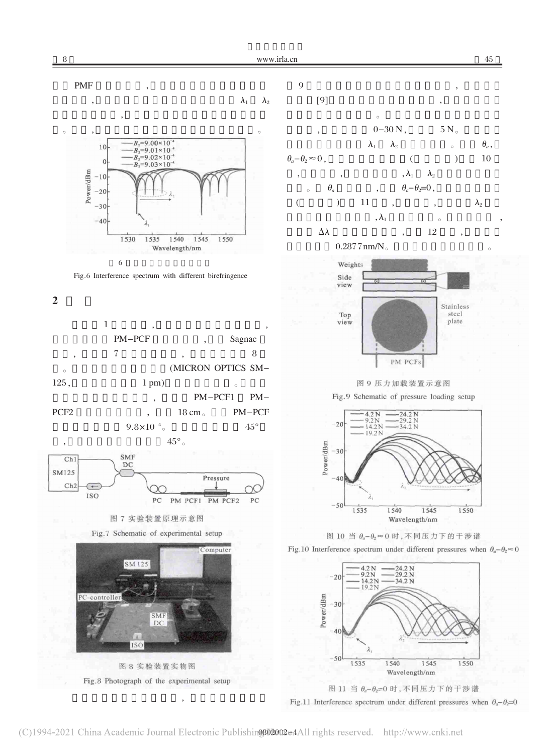



Fig.6 Interference spectrum with different birefringence

## $\overline{2}$

 $\mathbf{1}$ **PM-PCF** Sagnac  $\overline{7}$ 8 (MICRON OPTICS SM- $\epsilon$  $125,$  $1$  pm $)$ PM-PCF1  $PM-$ PCF<sub>2</sub>  $18 \text{ cm}$ PM-PCF  $9.8 \times 10^{-4}$  $45^{\circ}$  $45^{\circ}$  .



图 7 实验装置原理示意图





图 8 实验装置实物图 Fig.8 Photograph of the experimental setup





图 9 压力加载装置示意图

Fig.9 Schematic of pressure loading setup



图 10 当  $\theta_a - \theta_2 \approx 0$  时, 不同压力下的干涉谱





Fig.11 Interference spectrum under different pressures when  $\theta_a - \theta_2 = 0$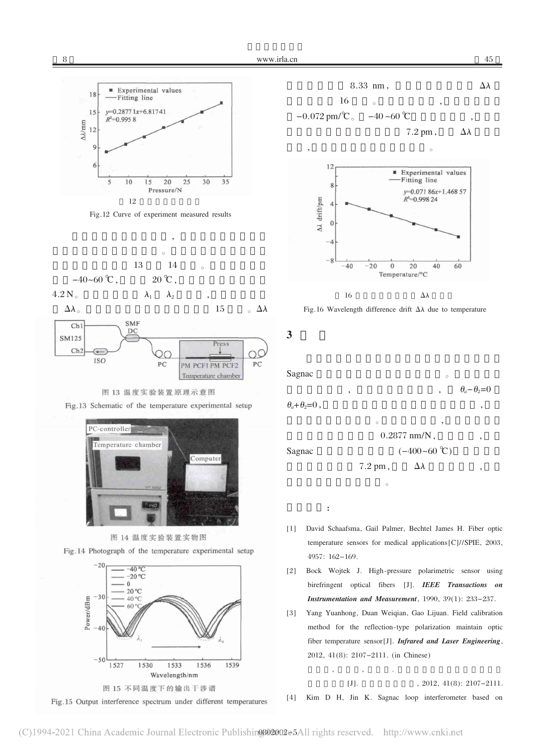







Fig.13 Schematic of the temperature experimental setup





Fig.14 Photograph of the temperature experimental setup







Fig.16 Wavelength difference drift  $\Delta \lambda$  due to temperature

 $\overline{\mathbf{3}}$ 



- [1] David Schaafsma, Gail Palmer, Bechtel James H. Fiber optic temperature sensors for medical applications [C]//SPIE, 2003, 4957: 162-169.
- [2] Bock Wojtek J. High-pressure polarimetric sensor using birefringent optical fibers [J]. IEEE Transactions on Instrumentation and Measurement, 1990, 39(1): 233-237.
- $[3]$ Yang Yuanhong, Duan Weiqian, Gao Lijuan. Field calibration method for the reflection-type polarization maintain optic fiber temperature sensor[J]. Infrared and Laser Engineering, 2012, 41(8): 2107-2111. (in Chinese)

 $[J].$ , 2012, 41(8): 2107-2111. [4] Kim D H, Jin K. Sagnac loop interferometer based on

8